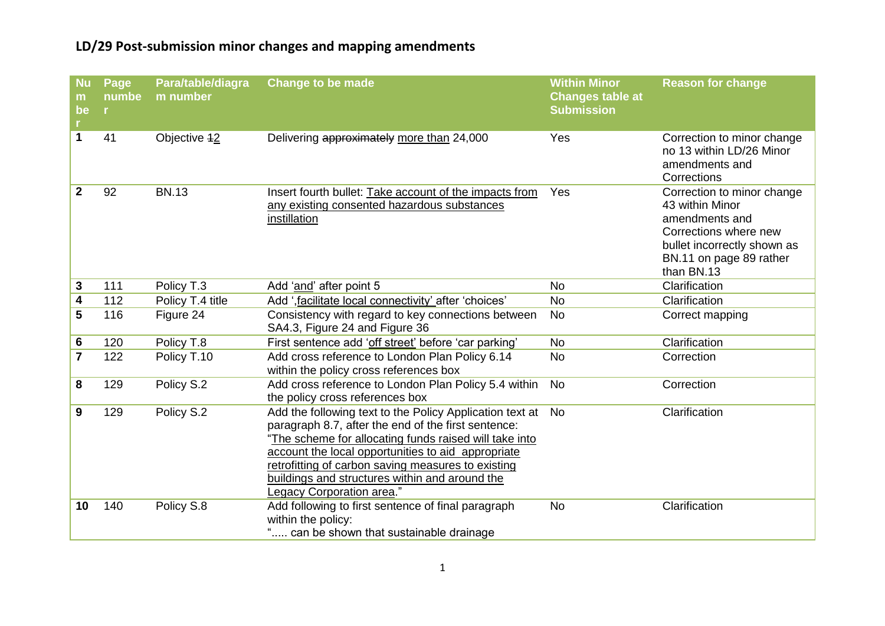| <b>Nu</b><br>m<br>be<br>r. | Page<br>numbe<br>in. | Para/table/diagra<br>m number | <b>Change to be made</b>                                                                                                                                                                                                                                                                                                                                             | <b>Within Minor</b><br><b>Changes table at</b><br><b>Submission</b> | <b>Reason for change</b>                                                                                                                                         |
|----------------------------|----------------------|-------------------------------|----------------------------------------------------------------------------------------------------------------------------------------------------------------------------------------------------------------------------------------------------------------------------------------------------------------------------------------------------------------------|---------------------------------------------------------------------|------------------------------------------------------------------------------------------------------------------------------------------------------------------|
| $\mathbf{1}$               | 41                   | Objective <sub>12</sub>       | Delivering approximately more than 24,000                                                                                                                                                                                                                                                                                                                            | Yes                                                                 | Correction to minor change<br>no 13 within LD/26 Minor<br>amendments and<br>Corrections                                                                          |
| $\mathbf{2}$               | 92                   | <b>BN.13</b>                  | Insert fourth bullet: Take account of the impacts from<br>any existing consented hazardous substances<br>instillation                                                                                                                                                                                                                                                | Yes                                                                 | Correction to minor change<br>43 within Minor<br>amendments and<br>Corrections where new<br>bullet incorrectly shown as<br>BN.11 on page 89 rather<br>than BN.13 |
| 3                          | 111                  | Policy T.3                    | Add 'and' after point 5                                                                                                                                                                                                                                                                                                                                              | <b>No</b>                                                           | Clarification                                                                                                                                                    |
| 4                          | 112                  | Policy T.4 title              | Add ', facilitate local connectivity' after 'choices'                                                                                                                                                                                                                                                                                                                | <b>No</b>                                                           | Clarification                                                                                                                                                    |
| 5                          | 116                  | Figure 24                     | Consistency with regard to key connections between<br>SA4.3, Figure 24 and Figure 36                                                                                                                                                                                                                                                                                 | <b>No</b>                                                           | Correct mapping                                                                                                                                                  |
| 6                          | 120                  | Policy T.8                    | First sentence add 'off street' before 'car parking'                                                                                                                                                                                                                                                                                                                 | <b>No</b>                                                           | Clarification                                                                                                                                                    |
| $\overline{\mathbf{r}}$    | 122                  | Policy T.10                   | Add cross reference to London Plan Policy 6.14<br>within the policy cross references box                                                                                                                                                                                                                                                                             | <b>No</b>                                                           | Correction                                                                                                                                                       |
| 8                          | 129                  | Policy S.2                    | Add cross reference to London Plan Policy 5.4 within<br>the policy cross references box                                                                                                                                                                                                                                                                              | <b>No</b>                                                           | Correction                                                                                                                                                       |
| 9                          | 129                  | Policy S.2                    | Add the following text to the Policy Application text at<br>paragraph 8.7, after the end of the first sentence:<br>"The scheme for allocating funds raised will take into<br>account the local opportunities to aid appropriate<br>retrofitting of carbon saving measures to existing<br>buildings and structures within and around the<br>Legacy Corporation area." | <b>No</b>                                                           | Clarification                                                                                                                                                    |
| 10                         | 140                  | Policy S.8                    | Add following to first sentence of final paragraph<br>within the policy:<br>can be shown that sustainable drainage                                                                                                                                                                                                                                                   | <b>No</b>                                                           | Clarification                                                                                                                                                    |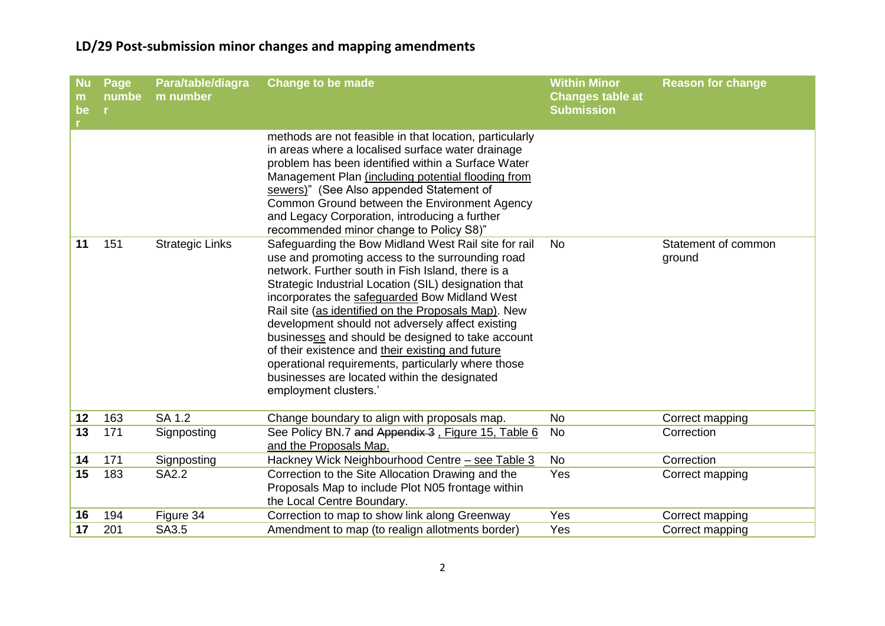| <b>Nu</b><br>m<br>be | Page<br>numbe<br>in. | Para/table/diagra<br>m number | <b>Change to be made</b>                                                                                                                                                                                                                                                                                                                                                                                                                                                                                                                                                                                                  | <b>Within Minor</b><br><b>Changes table at</b><br><b>Submission</b> | <b>Reason for change</b>      |
|----------------------|----------------------|-------------------------------|---------------------------------------------------------------------------------------------------------------------------------------------------------------------------------------------------------------------------------------------------------------------------------------------------------------------------------------------------------------------------------------------------------------------------------------------------------------------------------------------------------------------------------------------------------------------------------------------------------------------------|---------------------------------------------------------------------|-------------------------------|
|                      |                      |                               | methods are not feasible in that location, particularly<br>in areas where a localised surface water drainage<br>problem has been identified within a Surface Water<br>Management Plan (including potential flooding from<br>sewers)" (See Also appended Statement of<br>Common Ground between the Environment Agency<br>and Legacy Corporation, introducing a further<br>recommended minor change to Policy S8)"                                                                                                                                                                                                          |                                                                     |                               |
| 11                   | 151                  | <b>Strategic Links</b>        | Safeguarding the Bow Midland West Rail site for rail<br>use and promoting access to the surrounding road<br>network. Further south in Fish Island, there is a<br>Strategic Industrial Location (SIL) designation that<br>incorporates the safeguarded Bow Midland West<br>Rail site (as identified on the Proposals Map). New<br>development should not adversely affect existing<br>businesses and should be designed to take account<br>of their existence and their existing and future<br>operational requirements, particularly where those<br>businesses are located within the designated<br>employment clusters.' | <b>No</b>                                                           | Statement of common<br>ground |
| 12                   | 163                  | SA 1.2                        | Change boundary to align with proposals map.                                                                                                                                                                                                                                                                                                                                                                                                                                                                                                                                                                              | <b>No</b>                                                           | Correct mapping               |
| 13                   | 171                  | Signposting                   | See Policy BN.7 and Appendix 3, Figure 15, Table 6<br>and the Proposals Map.                                                                                                                                                                                                                                                                                                                                                                                                                                                                                                                                              | No                                                                  | Correction                    |
| 14                   | 171                  | Signposting                   | Hackney Wick Neighbourhood Centre - see Table 3                                                                                                                                                                                                                                                                                                                                                                                                                                                                                                                                                                           | <b>No</b>                                                           | Correction                    |
| 15                   | 183                  | <b>SA2.2</b>                  | Correction to the Site Allocation Drawing and the<br>Proposals Map to include Plot N05 frontage within<br>the Local Centre Boundary.                                                                                                                                                                                                                                                                                                                                                                                                                                                                                      | Yes                                                                 | Correct mapping               |
| 16                   | 194                  | Figure 34                     | Correction to map to show link along Greenway                                                                                                                                                                                                                                                                                                                                                                                                                                                                                                                                                                             | Yes                                                                 | Correct mapping               |
| 17                   | 201                  | SA3.5                         | Amendment to map (to realign allotments border)                                                                                                                                                                                                                                                                                                                                                                                                                                                                                                                                                                           | Yes                                                                 | Correct mapping               |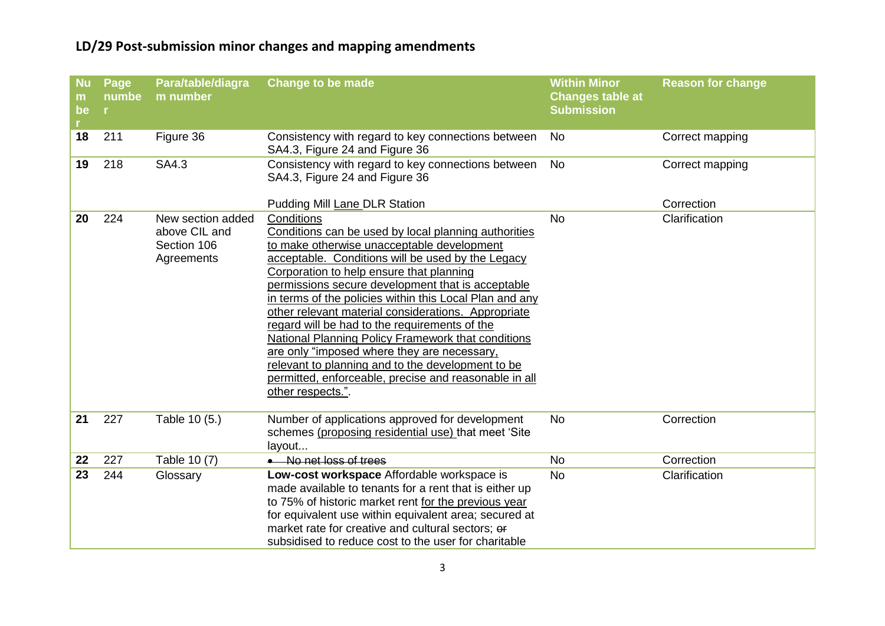| <b>Nu</b><br>m<br>be<br>r. | Page<br>numbe<br>in. | Para/table/diagra<br>m number                                   | <b>Change to be made</b>                                                                                                                                                                                                                                                                                                                                                                                                                                                                                                                                                                                                                                                                 | <b>Within Minor</b><br><b>Changes table at</b><br><b>Submission</b> | <b>Reason for change</b> |
|----------------------------|----------------------|-----------------------------------------------------------------|------------------------------------------------------------------------------------------------------------------------------------------------------------------------------------------------------------------------------------------------------------------------------------------------------------------------------------------------------------------------------------------------------------------------------------------------------------------------------------------------------------------------------------------------------------------------------------------------------------------------------------------------------------------------------------------|---------------------------------------------------------------------|--------------------------|
| 18                         | 211                  | Figure 36                                                       | Consistency with regard to key connections between<br>SA4.3, Figure 24 and Figure 36                                                                                                                                                                                                                                                                                                                                                                                                                                                                                                                                                                                                     | <b>No</b>                                                           | Correct mapping          |
| 19                         | 218                  | SA4.3                                                           | Consistency with regard to key connections between<br>SA4.3, Figure 24 and Figure 36                                                                                                                                                                                                                                                                                                                                                                                                                                                                                                                                                                                                     | <b>No</b>                                                           | Correct mapping          |
|                            |                      |                                                                 | Pudding Mill Lane DLR Station                                                                                                                                                                                                                                                                                                                                                                                                                                                                                                                                                                                                                                                            |                                                                     | Correction               |
| 20                         | 224                  | New section added<br>above CIL and<br>Section 106<br>Agreements | Conditions<br>Conditions can be used by local planning authorities<br>to make otherwise unacceptable development<br>acceptable. Conditions will be used by the Legacy<br>Corporation to help ensure that planning<br>permissions secure development that is acceptable<br>in terms of the policies within this Local Plan and any<br>other relevant material considerations. Appropriate<br>regard will be had to the requirements of the<br><b>National Planning Policy Framework that conditions</b><br>are only "imposed where they are necessary,<br>relevant to planning and to the development to be<br>permitted, enforceable, precise and reasonable in all<br>other respects.". | <b>No</b>                                                           | Clarification            |
| 21                         | 227                  | Table 10 (5.)                                                   | Number of applications approved for development<br>schemes (proposing residential use) that meet 'Site<br>layout                                                                                                                                                                                                                                                                                                                                                                                                                                                                                                                                                                         | <b>No</b>                                                           | Correction               |
| 22                         | 227                  | Table 10 (7)                                                    | • No net loss of trees                                                                                                                                                                                                                                                                                                                                                                                                                                                                                                                                                                                                                                                                   | <b>No</b>                                                           | Correction               |
| 23                         | 244                  | Glossary                                                        | Low-cost workspace Affordable workspace is<br>made available to tenants for a rent that is either up<br>to 75% of historic market rent for the previous year<br>for equivalent use within equivalent area; secured at<br>market rate for creative and cultural sectors; or<br>subsidised to reduce cost to the user for charitable                                                                                                                                                                                                                                                                                                                                                       | <b>No</b>                                                           | Clarification            |